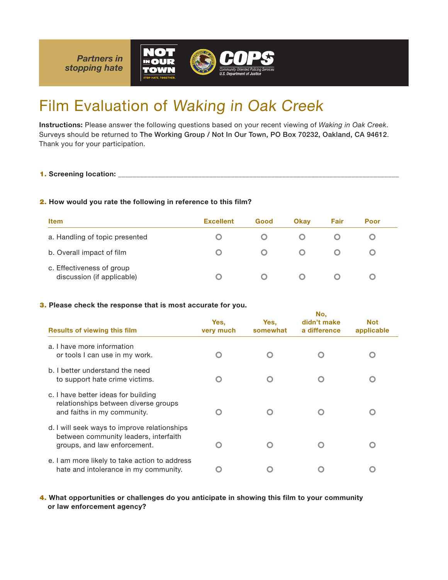

# Film Evaluation of Waking in Oak Creek

Instructions: Please answer the following questions based on your recent viewing of *Waking in Oak Creek*. Surveys should be returned to The Working Group / Not In Our Town, PO Box 70232, Oakland, CA 94612. Thank you for your participation.

### 2. How would you rate the following in reference to this film?

| <b>Item</b>                                             | <b>Excellent</b> | Good | <b>Okav</b> | Fair | Poor |  |
|---------------------------------------------------------|------------------|------|-------------|------|------|--|
| a. Handling of topic presented                          |                  |      |             |      |      |  |
| b. Overall impact of film                               |                  |      |             |      |      |  |
| c. Effectiveness of group<br>discussion (if applicable) |                  |      |             |      |      |  |

### 3. Please check the response that is most accurate for you.

|                                                                                                                       | No.               |                  |                             |                          |  |
|-----------------------------------------------------------------------------------------------------------------------|-------------------|------------------|-----------------------------|--------------------------|--|
| <b>Results of viewing this film</b>                                                                                   | Yes,<br>very much | Yes.<br>somewhat | didn't make<br>a difference | <b>Not</b><br>applicable |  |
| a. I have more information<br>or tools I can use in my work.                                                          |                   |                  |                             |                          |  |
| b. I better understand the need<br>to support hate crime victims.                                                     |                   |                  |                             |                          |  |
| c. I have better ideas for building<br>relationships between diverse groups<br>and faiths in my community.            |                   |                  |                             |                          |  |
| d. I will seek ways to improve relationships<br>between community leaders, interfaith<br>groups, and law enforcement. |                   |                  |                             |                          |  |
| e. I am more likely to take action to address<br>hate and intolerance in my community.                                |                   |                  |                             |                          |  |

4. What opportunities or challenges do you anticipate in showing this film to your community or law enforcement agency?

<sup>1.</sup> Screening location: